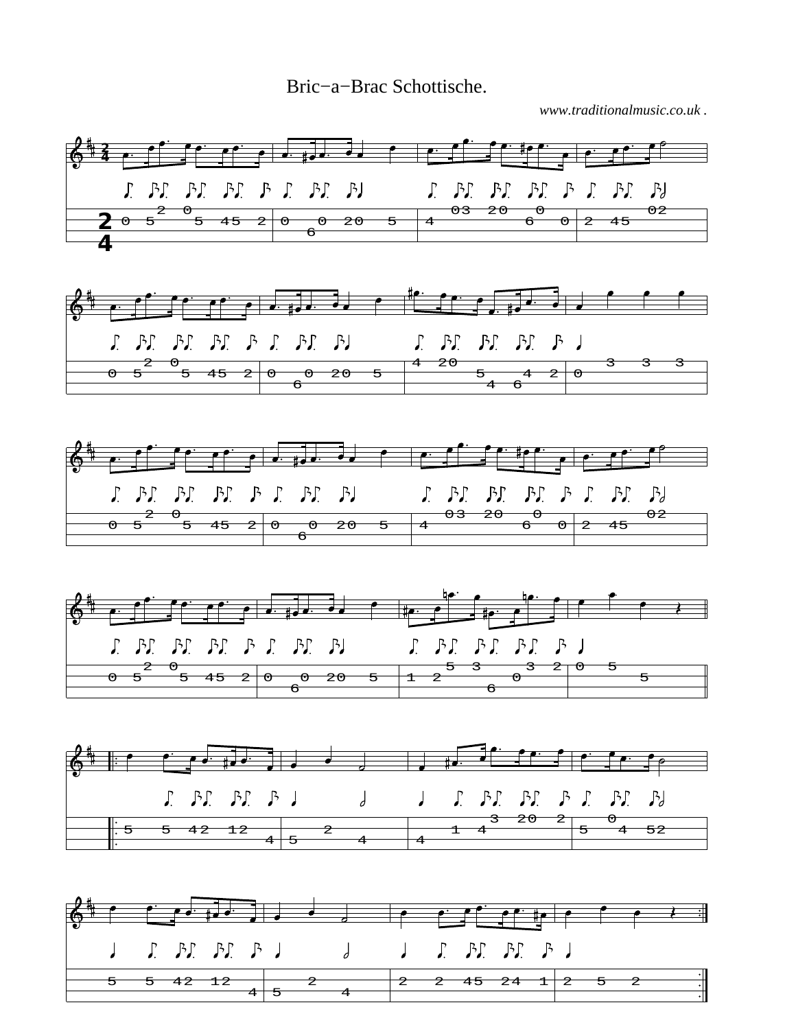Bric−a−Brac Schottische.

*www.traditionalmusic.co.uk .*